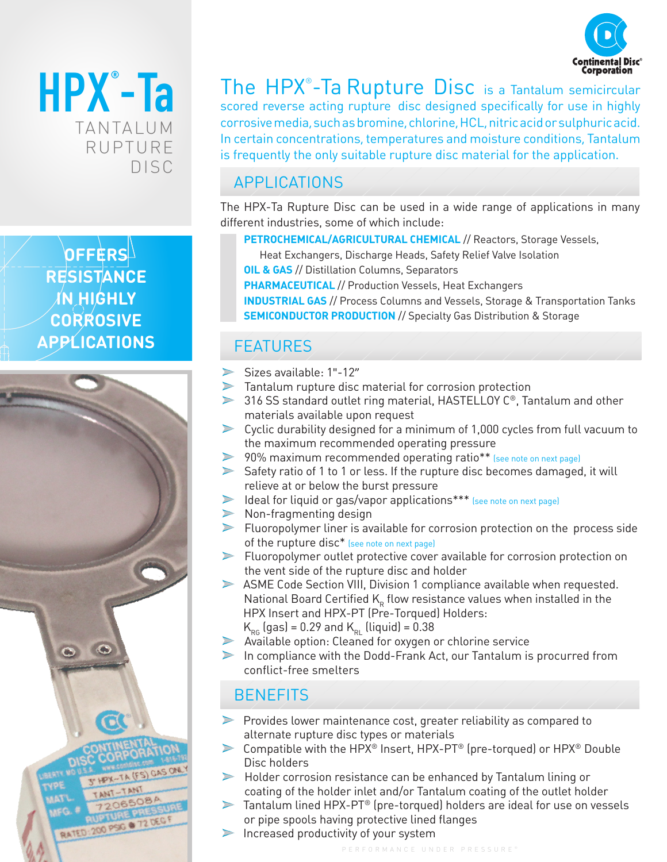



 $\mathsf{OFFERS}$ **RESISTANCE IN HIGHLY CORROSIVE APPLICATIONS**



The HPX® -Ta Rupture Disc is a Tantalum semicircular scored reverse acting rupture disc designed specifically for use in highly corrosive media, such as bromine, chlorine, HCL, nitric acid or sulphuric acid. In certain concentrations, temperatures and moisture conditions, Tantalum is frequently the only suitable rupture disc material for the application.

## APPLICATIONS

The HPX-Ta Rupture Disc can be used in a wide range of applications in many different industries, some of which include:

- **PETROCHEMICAL/AGRICULTURAL CHEMICAL** // Reactors, Storage Vessels,
	- Heat Exchangers, Discharge Heads, Safety Relief Valve Isolation
- **OIL & GAS** // Distillation Columns, Separators
- **PHARMACEUTICAL** // Production Vessels, Heat Exchangers

**INDUSTRIAL GAS** // Process Columns and Vessels, Storage & Transportation Tanks **SEMICONDUCTOR PRODUCTION // Specialty Gas Distribution & Storage** 

# FEATURES

- $\blacktriangleright$ Sizes available: 1"-12"
- Tantalum rupture disc material for corrosion protection
- ▶ 316 SS standard outlet ring material, HASTELLOY C<sup>®</sup>, Tantalum and other materials available upon request
- Cyclic durability designed for a minimum of 1,000 cycles from full vacuum to the maximum recommended operating pressure
- 90% maximum recommended operating ratio\*\* (see note on next page)
- Safety ratio of 1 to 1 or less. If the rupture disc becomes damaged, it will relieve at or below the burst pressure
- Ideal for liquid or gas/vapor applications\*\*\* (see note on next page)
- Non-fragmenting design
- Fluoropolymer liner is available for corrosion protection on the process side of the rupture disc\* (see note on next page)
- Fluoropolymer outlet protective cover available for corrosion protection on the vent side of the rupture disc and holder
- ASME Code Section VIII, Division 1 compliance available when requested. National Board Certified  $K_R$  flow resistance values when installed in the HPX Insert and HPX-PT (Pre-Torqued) Holders:
	- $K_{_{\rm RG}}$  (gas) = 0.29 and  $K_{_{\rm RI}}$  (liquid) = 0.38
- Available option: Cleaned for oxygen or chlorine service
- In compliance with the Dodd-Frank Act, our Tantalum is procurred from conflict-free smelters

### **BENEFITS**

- Provides lower maintenance cost, greater reliability as compared to  $\geq$ alternate rupture disc types or materials
- Compatible with the HPX® Insert, HPX-PT® (pre-torqued) or HPX® Double  $\blacktriangleright$ Disc holders
- Holder corrosion resistance can be enhanced by Tantalum lining or coating of the holder inlet and/or Tantalum coating of the outlet holder
- Tantalum lined HPX-PT® (pre-torqued) holders are ideal for use on vessels or pipe spools having protective lined flanges
- $\triangleright$  Increased productivity of your system